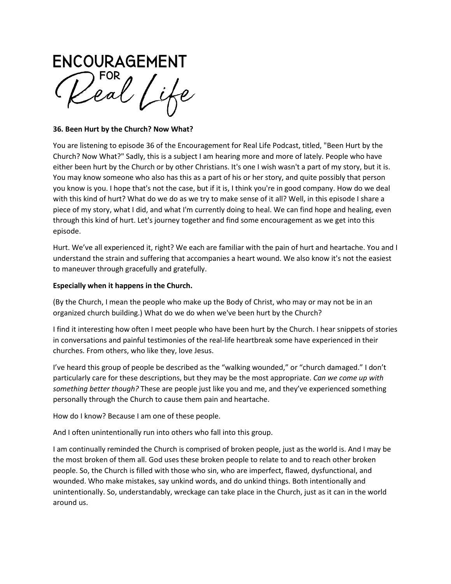**ENCOURAGEMENT** 

### **36. Been Hurt by the Church? Now What?**

You are listening to episode 36 of the Encouragement for Real Life Podcast, titled, "Been Hurt by the Church? Now What?" Sadly, this is a subject I am hearing more and more of lately. People who have either been hurt by the Church or by other Christians. It's one I wish wasn't a part of my story, but it is. You may know someone who also has this as a part of his or her story, and quite possibly that person you know is you. I hope that's not the case, but if it is, I think you're in good company. How do we deal with this kind of hurt? What do we do as we try to make sense of it all? Well, in this episode I share a piece of my story, what I did, and what I'm currently doing to heal. We can find hope and healing, even through this kind of hurt. Let's journey together and find some encouragement as we get into this episode.

Hurt. We've all experienced it, right? We each are familiar with the pain of hurt and heartache. You and I understand the strain and suffering that accompanies a heart wound. We also know it's not the easiest to maneuver through gracefully and gratefully.

### **Especially when it happens in the Church.**

(By the Church, I mean the people who make up the Body of Christ, who may or may not be in an organized church building.) What do we do when we've been hurt by the Church?

I find it interesting how often I meet people who have been hurt by the Church. I hear snippets of stories in conversations and painful testimonies of the real-life heartbreak some have experienced in their churches. From others, who like they, love Jesus.

I've heard this group of people be described as the "walking wounded," or "church damaged." I don't particularly care for these descriptions, but they may be the most appropriate. *Can we come up with something better though?* These are people just like you and me, and they've experienced something personally through the Church to cause them pain and heartache.

How do I know? Because I am one of these people.

And I often unintentionally run into others who fall into this group.

I am continually reminded the Church is comprised of broken people, just as the world is. And I may be the most broken of them all. God uses these broken people to relate to and to reach other broken people. So, the Church is filled with those who sin, who are imperfect, flawed, dysfunctional, and wounded. Who make mistakes, say unkind words, and do unkind things. Both intentionally and unintentionally. So, understandably, wreckage can take place in the Church, just as it can in the world around us.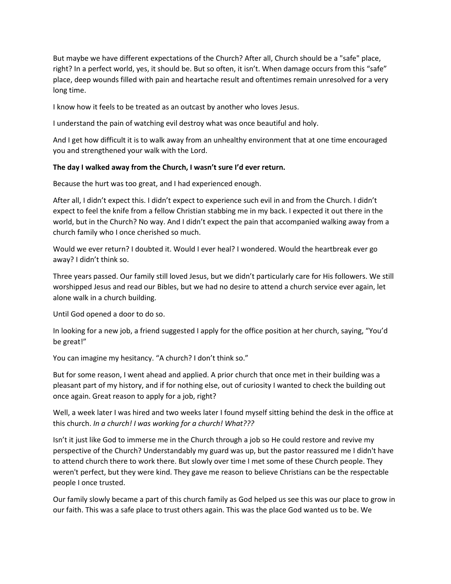But maybe we have different expectations of the Church? After all, Church should be a "safe" place, right? In a perfect world, yes, it should be. But so often, it isn't. When damage occurs from this "safe" place, deep wounds filled with pain and heartache result and oftentimes remain unresolved for a very long time.

I know how it feels to be treated as an outcast by another who loves Jesus.

I understand the pain of watching evil destroy what was once beautiful and holy.

And I get how difficult it is to walk away from an unhealthy environment that at one time encouraged you and strengthened your walk with the Lord.

#### **The day I walked away from the Church, I wasn't sure I'd ever return.**

Because the hurt was too great, and I had experienced enough.

After all, I didn't expect this. I didn't expect to experience such evil in and from the Church. I didn't expect to feel the knife from a fellow Christian stabbing me in my back. I expected it out there in the world, but in the Church? No way. And I didn't expect the pain that accompanied walking away from a church family who I once cherished so much.

Would we ever return? I doubted it. Would I ever heal? I wondered. Would the heartbreak ever go away? I didn't think so.

Three years passed. Our family still loved Jesus, but we didn't particularly care for His followers. We still worshipped Jesus and read our Bibles, but we had no desire to attend a church service ever again, let alone walk in a church building.

Until God opened a door to do so.

In looking for a new job, a friend suggested I apply for the office position at her church, saying, "You'd be great!"

You can imagine my hesitancy. "A church? I don't think so."

But for some reason, I went ahead and applied. A prior church that once met in their building was a pleasant part of my history, and if for nothing else, out of curiosity I wanted to check the building out once again. Great reason to apply for a job, right?

Well, a week later I was hired and two weeks later I found myself sitting behind the desk in the office at this church. *In a church! I was working for a church! What???*

Isn't it just like God to immerse me in the Church through a job so He could restore and revive my perspective of the Church? Understandably my guard was up, but the pastor reassured me I didn't have to attend church there to work there. But slowly over time I met some of these Church people. They weren't perfect, but they were kind. They gave me reason to believe Christians can be the respectable people I once trusted.

Our family slowly became a part of this church family as God helped us see this was our place to grow in our faith. This was a safe place to trust others again. This was the place God wanted us to be. We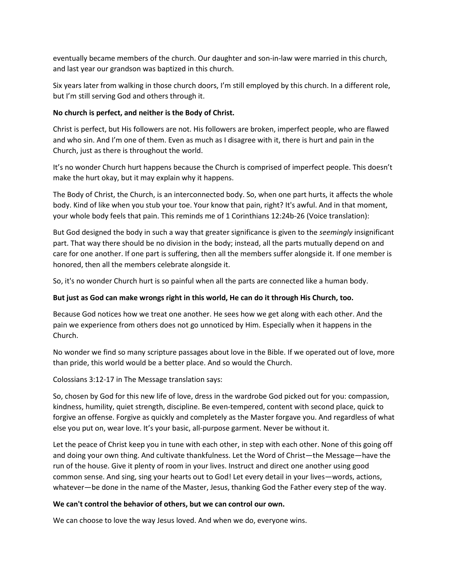eventually became members of the church. Our daughter and son-in-law were married in this church, and last year our grandson was baptized in this church.

Six years later from walking in those church doors, I'm still employed by this church. In a different role, but I'm still serving God and others through it.

### **No church is perfect, and neither is the Body of Christ.**

Christ is perfect, but His followers are not. His followers are broken, imperfect people, who are flawed and who sin. And I'm one of them. Even as much as I disagree with it, there is hurt and pain in the Church, just as there is throughout the world.

It's no wonder Church hurt happens because the Church is comprised of imperfect people. This doesn't make the hurt okay, but it may explain why it happens.

The Body of Christ, the Church, is an interconnected body. So, when one part hurts, it affects the whole body. Kind of like when you stub your toe. Your know that pain, right? It's awful. And in that moment, your whole body feels that pain. This reminds me of 1 Corinthians 12:24b-26 (Voice translation):

But God designed the body in such a way that greater significance is given to the *seemingly* insignificant part. That way there should be no division in the body; instead, all the parts mutually depend on and care for one another. If one part is suffering, then all the members suffer alongside it. If one member is honored, then all the members celebrate alongside it.

So, it's no wonder Church hurt is so painful when all the parts are connected like a human body.

# **But just as God can make wrongs right in this world, He can do it through His Church, too.**

Because God notices how we treat one another. He sees how we get along with each other. And the pain we experience from others does not go unnoticed by Him. Especially when it happens in the Church.

No wonder we find so many scripture passages about love in the Bible. If we operated out of love, more than pride, this world would be a better place. And so would the Church.

Colossians 3:12-17 in The Message translation says:

So, chosen by God for this new life of love, dress in the wardrobe God picked out for you: compassion, kindness, humility, quiet strength, discipline. Be even-tempered, content with second place, quick to forgive an offense. Forgive as quickly and completely as the Master forgave you. And regardless of what else you put on, wear love. It's your basic, all-purpose garment. Never be without it.

Let the peace of Christ keep you in tune with each other, in step with each other. None of this going off and doing your own thing. And cultivate thankfulness. Let the Word of Christ—the Message—have the run of the house. Give it plenty of room in your lives. Instruct and direct one another using good common sense. And sing, sing your hearts out to God! Let every detail in your lives—words, actions, whatever—be done in the name of the Master, Jesus, thanking God the Father every step of the way.

### **We can't control the behavior of others, but we can control our own.**

We can choose to love the way Jesus loved. And when we do, everyone wins.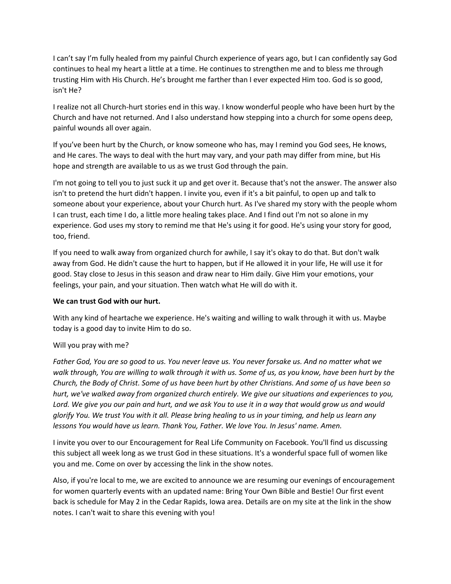I can't say I'm fully healed from my painful Church experience of years ago, but I can confidently say God continues to heal my heart a little at a time. He continues to strengthen me and to bless me through trusting Him with His Church. He's brought me farther than I ever expected Him too. God is so good, isn't He?

I realize not all Church-hurt stories end in this way. I know wonderful people who have been hurt by the Church and have not returned. And I also understand how stepping into a church for some opens deep, painful wounds all over again.

If you've been hurt by the Church, or know someone who has, may I remind you God sees, He knows, and He cares. The ways to deal with the hurt may vary, and your path may differ from mine, but His hope and strength are available to us as we trust God through the pain.

I'm not going to tell you to just suck it up and get over it. Because that's not the answer. The answer also isn't to pretend the hurt didn't happen. I invite you, even if it's a bit painful, to open up and talk to someone about your experience, about your Church hurt. As I've shared my story with the people whom I can trust, each time I do, a little more healing takes place. And I find out I'm not so alone in my experience. God uses my story to remind me that He's using it for good. He's using your story for good, too, friend.

If you need to walk away from organized church for awhile, I say it's okay to do that. But don't walk away from God. He didn't cause the hurt to happen, but if He allowed it in your life, He will use it for good. Stay close to Jesus in this season and draw near to Him daily. Give Him your emotions, your feelings, your pain, and your situation. Then watch what He will do with it.

### **We can trust God with our hurt.**

With any kind of heartache we experience. He's waiting and willing to walk through it with us. Maybe today is a good day to invite Him to do so.

# Will you pray with me?

*Father God, You are so good to us. You never leave us. You never forsake us. And no matter what we walk through, You are willing to walk through it with us. Some of us, as you know, have been hurt by the Church, the Body of Christ. Some of us have been hurt by other Christians. And some of us have been so hurt, we've walked away from organized church entirely. We give our situations and experiences to you, Lord. We give you our pain and hurt, and we ask You to use it in a way that would grow us and would glorify You. We trust You with it all. Please bring healing to us in your timing, and help us learn any lessons You would have us learn. Thank You, Father. We love You. In Jesus' name. Amen.*

I invite you over to our Encouragement for Real Life Community on Facebook. You'll find us discussing this subject all week long as we trust God in these situations. It's a wonderful space full of women like you and me. Come on over by accessing the link in the show notes.

Also, if you're local to me, we are excited to announce we are resuming our evenings of encouragement for women quarterly events with an updated name: Bring Your Own Bible and Bestie! Our first event back is schedule for May 2 in the Cedar Rapids, Iowa area. Details are on my site at the link in the show notes. I can't wait to share this evening with you!